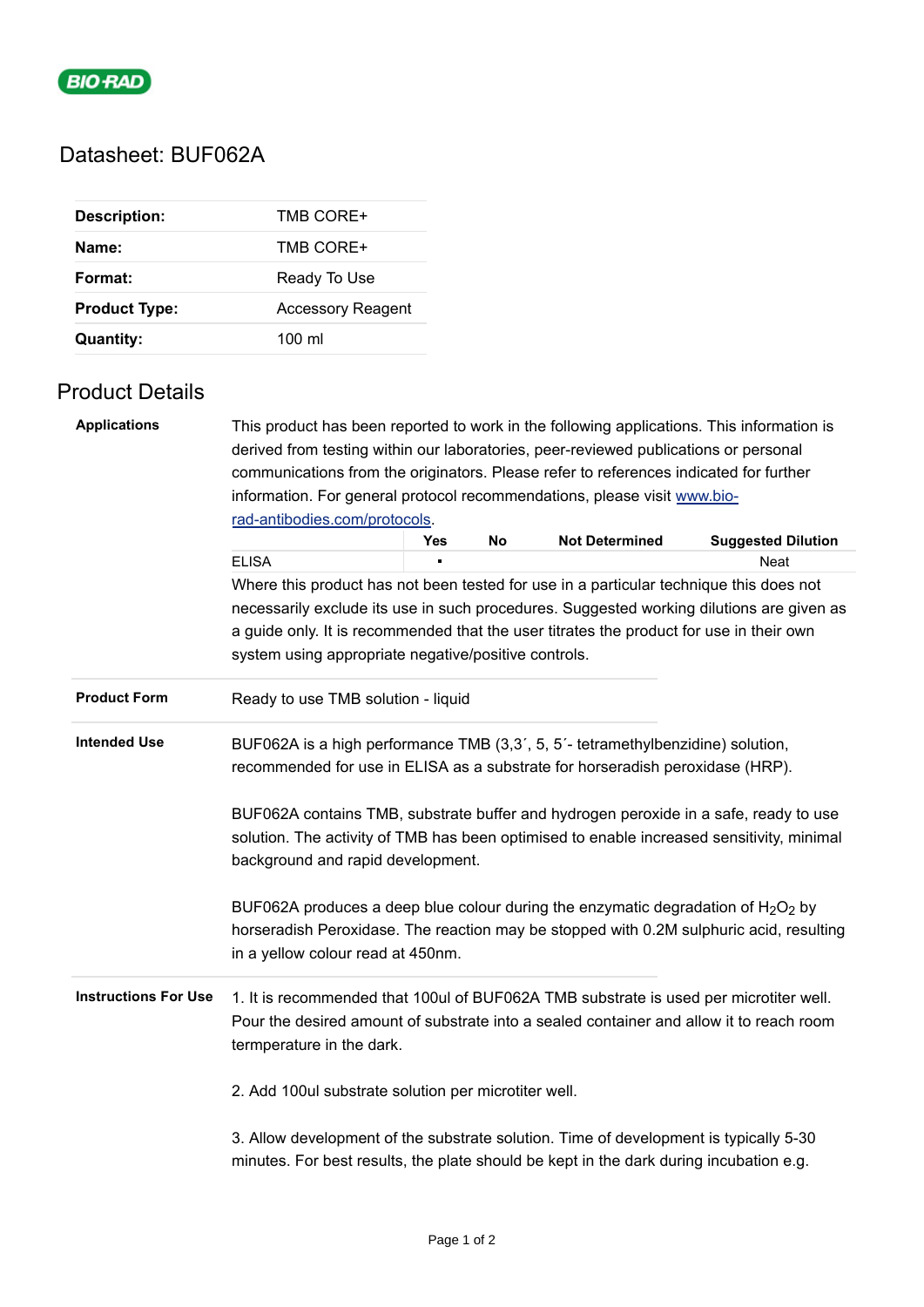

# Datasheet: BUF062A

| <b>Description:</b>  | TMB CORE+                |
|----------------------|--------------------------|
| Name:                | TMB CORE+                |
| Format:              | Ready To Use             |
| <b>Product Type:</b> | <b>Accessory Reagent</b> |
| <b>Quantity:</b>     | $100 \mathrm{m}$         |

### Product Details

| <b>Applications</b>                                                                                                                                                                                                                                                                                                                                                                                               | This product has been reported to work in the following applications. This information is<br>derived from testing within our laboratories, peer-reviewed publications or personal                             |            |    |                       |                           |  |                                                                                                                                                                                                                     |  |
|-------------------------------------------------------------------------------------------------------------------------------------------------------------------------------------------------------------------------------------------------------------------------------------------------------------------------------------------------------------------------------------------------------------------|---------------------------------------------------------------------------------------------------------------------------------------------------------------------------------------------------------------|------------|----|-----------------------|---------------------------|--|---------------------------------------------------------------------------------------------------------------------------------------------------------------------------------------------------------------------|--|
|                                                                                                                                                                                                                                                                                                                                                                                                                   | communications from the originators. Please refer to references indicated for further<br>information. For general protocol recommendations, please visit www.bio-                                             |            |    |                       |                           |  |                                                                                                                                                                                                                     |  |
|                                                                                                                                                                                                                                                                                                                                                                                                                   |                                                                                                                                                                                                               |            |    |                       |                           |  |                                                                                                                                                                                                                     |  |
|                                                                                                                                                                                                                                                                                                                                                                                                                   | rad-antibodies.com/protocols.                                                                                                                                                                                 |            |    |                       |                           |  |                                                                                                                                                                                                                     |  |
|                                                                                                                                                                                                                                                                                                                                                                                                                   |                                                                                                                                                                                                               | <b>Yes</b> | No | <b>Not Determined</b> | <b>Suggested Dilution</b> |  |                                                                                                                                                                                                                     |  |
|                                                                                                                                                                                                                                                                                                                                                                                                                   | <b>ELISA</b>                                                                                                                                                                                                  |            |    |                       | Neat                      |  |                                                                                                                                                                                                                     |  |
|                                                                                                                                                                                                                                                                                                                                                                                                                   | Where this product has not been tested for use in a particular technique this does not                                                                                                                        |            |    |                       |                           |  |                                                                                                                                                                                                                     |  |
|                                                                                                                                                                                                                                                                                                                                                                                                                   | necessarily exclude its use in such procedures. Suggested working dilutions are given as                                                                                                                      |            |    |                       |                           |  |                                                                                                                                                                                                                     |  |
|                                                                                                                                                                                                                                                                                                                                                                                                                   | a guide only. It is recommended that the user titrates the product for use in their own<br>system using appropriate negative/positive controls.                                                               |            |    |                       |                           |  |                                                                                                                                                                                                                     |  |
|                                                                                                                                                                                                                                                                                                                                                                                                                   |                                                                                                                                                                                                               |            |    |                       |                           |  |                                                                                                                                                                                                                     |  |
|                                                                                                                                                                                                                                                                                                                                                                                                                   |                                                                                                                                                                                                               |            |    |                       |                           |  |                                                                                                                                                                                                                     |  |
| <b>Product Form</b>                                                                                                                                                                                                                                                                                                                                                                                               | Ready to use TMB solution - liquid                                                                                                                                                                            |            |    |                       |                           |  |                                                                                                                                                                                                                     |  |
| <b>Intended Use</b><br>BUF062A is a high performance TMB (3,3', 5, 5'- tetramethylbenzidine) solution,<br>recommended for use in ELISA as a substrate for horseradish peroxidase (HRP).<br>BUF062A contains TMB, substrate buffer and hydrogen peroxide in a safe, ready to use<br>solution. The activity of TMB has been optimised to enable increased sensitivity, minimal<br>background and rapid development. |                                                                                                                                                                                                               |            |    |                       |                           |  |                                                                                                                                                                                                                     |  |
|                                                                                                                                                                                                                                                                                                                                                                                                                   |                                                                                                                                                                                                               |            |    |                       |                           |  | BUF062A produces a deep blue colour during the enzymatic degradation of $H_2O_2$ by<br>horseradish Peroxidase. The reaction may be stopped with 0.2M sulphuric acid, resulting<br>in a yellow colour read at 450nm. |  |
| <b>Instructions For Use</b>                                                                                                                                                                                                                                                                                                                                                                                       | 1. It is recommended that 100ul of BUF062A TMB substrate is used per microtiter well.<br>Pour the desired amount of substrate into a sealed container and allow it to reach room<br>termperature in the dark. |            |    |                       |                           |  |                                                                                                                                                                                                                     |  |
|                                                                                                                                                                                                                                                                                                                                                                                                                   | 2. Add 100ul substrate solution per microtiter well.                                                                                                                                                          |            |    |                       |                           |  |                                                                                                                                                                                                                     |  |
|                                                                                                                                                                                                                                                                                                                                                                                                                   | 3. Allow development of the substrate solution. Time of development is typically 5-30<br>minutes. For best results, the plate should be kept in the dark during incubation e.g.                               |            |    |                       |                           |  |                                                                                                                                                                                                                     |  |